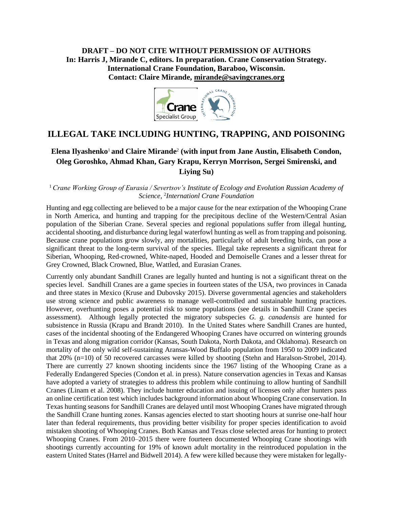**DRAFT – DO NOT CITE WITHOUT PERMISSION OF AUTHORS In: Harris J, Mirande C, editors. In preparation. Crane Conservation Strategy. International Crane Foundation, Baraboo, Wisconsin. Contact: Claire Mirande, [mirande@savingcranes.org](mailto:mirande@savingcranes.org)**



# **ILLEGAL TAKE INCLUDING HUNTING, TRAPPING, AND POISONING**

## **Elena Ilyashenko**1 **and Claire Mirande**<sup>2</sup> **(with input from Jane Austin, Elisabeth Condon, Oleg Goroshko, Ahmad Khan, Gary Krapu, Kerryn Morrison, Sergei Smirenski, and Liying Su)**

<sup>1</sup>*Crane Working Group of Eurasia / Severtsov's Institute of Ecology and Evolution Russian Academy of Science,*  2 *Internationl Crane Foundation*

Hunting and egg collecting are believed to be a major cause for the near extirpation of the Whooping Crane in North America, and hunting and trapping for the precipitous decline of the Western/Central Asian population of the Siberian Crane. Several species and regional populations suffer from illegal hunting, accidental shooting, and disturbance during legal waterfowl hunting as well as from trapping and poisoning. Because crane populations grow slowly, any mortalities, particularly of adult breeding birds, can pose a significant threat to the long-term survival of the species. Illegal take represents a significant threat for Siberian, Whooping, Red-crowned, White-naped, Hooded and Demoiselle Cranes and a lesser threat for Grey Crowned, Black Crowned, Blue, Wattled, and Eurasian Cranes.

Currently only abundant Sandhill Cranes are legally hunted and hunting is not a significant threat on the species level. Sandhill Cranes are a game species in fourteen states of the USA, two provinces in Canada and three states in Mexico (Kruse and Dubovsky 2015). Diverse governmental agencies and stakeholders use strong science and public awareness to manage well-controlled and sustainable hunting practices. However, overhunting poses a potential risk to some populations (see details in Sandhill Crane species assessment). Although legally protected the migratory subspecies *G. g. canadensis* are hunted for subsistence in Russia (Krapu and Brandt 2010). In the United States where Sandhill Cranes are hunted, cases of the incidental shooting of the Endangered Whooping Cranes have occurred on wintering grounds in Texas and along migration corridor (Kansas, South Dakota, North Dakota, and Oklahoma). Research on mortality of the only wild self-sustaining Aransas-Wood Buffalo population from 1950 to 2009 indicated that 20% (n=10) of 50 recovered carcasses were killed by shooting (Stehn and Haralson-Strobel, 2014)*.*  There are currently 27 known shooting incidents since the 1967 listing of the Whooping Crane as a Federally Endangered Species (Condon et al. in press). Nature conservation agencies in Texas and Kansas have adopted a variety of strategies to address this problem while continuing to allow hunting of Sandhill Cranes (Linam et al. 2008). They include hunter education and issuing of licenses only after hunters pass an online certification test which includes background information about Whooping Crane conservation. In Texas hunting seasons for Sandhill Cranes are delayed until most Whooping Cranes have migrated through the Sandhill Crane hunting zones. Kansas agencies elected to start shooting hours at sunrise one-half hour later than federal requirements, thus providing better visibility for proper species identification to avoid mistaken shooting of Whooping Cranes. Both Kansas and Texas close selected areas for hunting to protect Whooping Cranes. From 2010–2015 there were fourteen documented Whooping Crane shootings with shootings currently accounting for 19% of known adult mortality in the reintroduced population in the eastern United States (Harrel and Bidwell 2014). A few were killed because they were mistaken for legally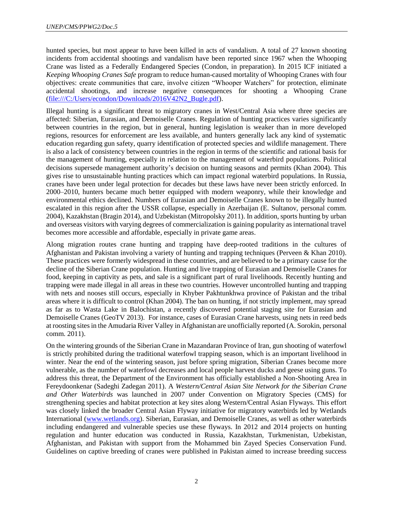hunted species, but most appear to have been killed in acts of vandalism. A total of 27 known shooting incidents from accidental shootings and vandalism have been reported since 1967 when the Whooping Crane was listed as a Federally Endangered Species (Condon, in preparation). In 2015 ICF initiated a *Keeping Whooping Cranes Safe* program to reduce human-caused mortality of Whooping Cranes with four objectives: create communities that care, involve citizen "Whooper Watchers" for protection, eliminate accidental shootings, and increase negative consequences for shooting a Whooping Crane [\(file:///C:/Users/econdon/Downloads/2016V42N2\\_Bugle.pdf\)](file:///C:/Users/econdon/Downloads/2016V42N2_Bugle.pdf).

Illegal hunting is a significant threat to migratory cranes in West/Central Asia where three species are affected: Siberian, Eurasian, and Demoiselle Cranes. Regulation of hunting practices varies significantly between countries in the region, but in general, hunting legislation is weaker than in more developed regions, resources for enforcement are less available, and hunters generally lack any kind of systematic education regarding gun safety, quarry identification of protected species and wildlife management. There is also a lack of consistency between countries in the region in terms of the scientific and rational basis for the management of hunting, especially in relation to the management of waterbird populations. Political decisions supersede management authority's decision on hunting seasons and permits (Khan 2004). This gives rise to unsustainable hunting practices which can impact regional waterbird populations. In Russia, cranes have been under legal protection for decades but these laws have never been strictly enforced. In 2000‒2010, hunters became much better equipped with modern weaponry, while their knowledge and environmental ethics declined. Numbers of Eurasian and Demoiselle Cranes known to be illegally hunted escalated in this region after the USSR collapse, especially in Azerbaijan (E. Sultanov, personal comm. 2004), Kazakhstan (Bragin 2014), and Uzbekistan (Mitropolsky 2011). In addition, sports hunting by urban and overseas visitors with varying degrees of commercialization is gaining popularity as international travel becomes more accessible and affordable, especially in private game areas.

Along migration routes crane hunting and trapping have deep-rooted traditions in the cultures of Afghanistan and Pakistan involving a variety of hunting and trapping techniques (Perveen & Khan 2010). These practices were formerly widespread in these countries, and are believed to be a primary cause for the decline of the Siberian Crane population. Hunting and live trapping of Eurasian and Demoiselle Cranes for food, keeping in captivity as pets, and sale is a significant part of rural livelihoods. Recently hunting and trapping were made illegal in all areas in these two countries. However uncontrolled hunting and trapping with nets and nooses still occurs, especially in Khyber Pakhtunkhwa province of Pakistan and the tribal areas where it is difficult to control (Khan 2004). The ban on hunting, if not strictly implement, may spread as far as to Wasta Lake in Balochistan, a recently discovered potential staging site for Eurasian and Demoiselle Cranes (GeoTV 2013). For instance, cases of Eurasian Crane harvests, using nets in reed beds at roosting sites in the Amudaria River Valley in Afghanistan are unofficially reported (A. Sorokin, personal comm. 2011).

On the wintering grounds of the Siberian Crane in Mazandaran Province of Iran, gun shooting of waterfowl is strictly prohibited during the traditional waterfowl trapping season, which is an important livelihood in winter. Near the end of the wintering season, just before spring migration, Siberian Cranes become more vulnerable, as the number of waterfowl decreases and local people harvest ducks and geese using guns. To address this threat, the Department of the Environment has officially established a Non-Shooting Area in Fereydoonkenar (Sadeghi Zadegan 2011). A *Western/Central Asian Site Network for the Siberian Crane and Other Waterbirds* was launched in 2007 under Convention on Migratory Species (CMS) for strengthening species and habitat protection at key sites along Western/Central Asian Flyways. This effort was closely linked the broader Central Asian Flyway initiative for migratory waterbirds led by Wetlands International [\(www.wetlands.org\)](http://www.wetlands.org/). Siberian, Eurasian, and Demoiselle Cranes, as well as other waterbirds including endangered and vulnerable species use these flyways. In 2012 and 2014 projects on hunting regulation and hunter education was conducted in Russia, Kazakhstan, Turkmenistan, Uzbekistan, Afghanistan, and Pakistan with support from the Mohammed bin Zayed Species Conservation Fund. Guidelines on captive breeding of cranes were published in Pakistan aimed to increase breeding success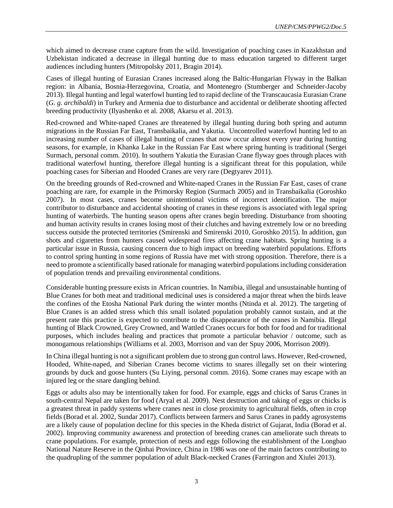which aimed to decrease crane capture from the wild. Investigation of poaching cases in Kazakhstan and Uzbekistan indicated a decrease in illegal hunting due to mass education targeted to different target audiences including hunters (Mitropolsky 2011, Bragin 2014).

Cases of illegal hunting of Eurasian Cranes increased along the Baltic-Hungarian Flyway in the Balkan region: in Albania, Bosnia-Herzegovina, Croatia, and Montenegro (Stumberger and Schneider-Jacoby 2013). Illegal hunting and legal waterfowl hunting led to rapid decline of the Transcaucasia Eurasian Crane (*G. g. archibaldi*) in Turkey and Armenia due to disturbance and accidental or deliberate shooting affected breeding productivity (Ilyashenko et al. 2008, Akarsu et al. 2013).

Red-crowned and White-naped Cranes are threatened by illegal hunting during both spring and autumn migrations in the Russian Far East, Transbaikalia, and Yakutia. Uncontrolled waterfowl hunting led to an increasing number of cases of illegal hunting of cranes that now occur almost every year during hunting seasons, for example, in Khanka Lake in the Russian Far East where spring hunting is traditional (Sergei Surmach, personal comm. 2010). In southern Yakutia the Eurasian Crane flyway goes through places with traditional waterfowl hunting, therefore illegal hunting is a significant threat for this population, while poaching cases for Siberian and Hooded Cranes are very rare (Degtyarev 2011).

On the breeding grounds of Red-crowned and White-naped Cranes in the Russian Far East, cases of crane poaching are rare, for example in the Primorsky Region (Surmach 2005) and in Transbaikalia (Goroshko 2007). In most cases, cranes become unintentional victims of incorrect identification. The major contributor to disturbance and accidental shooting of cranes in these regions is associated with legal spring hunting of waterbirds. The hunting season opens after cranes begin breeding. Disturbance from shooting and human activity results in cranes losing most of their clutches and having extremely low or no breeding success outside the protected territories (Smirenski and Smirenski 2010, Goroshko 2015). In addition, gun shots and cigarettes from hunters caused widespread fires affecting crane habitats. Spring hunting is a particular issue in Russia, causing concern due to high impact on breeding waterbird populations. Efforts to control spring hunting in some regions of Russia have met with strong opposition. Therefore, there is a need to promote a scientifically based rationale for managing waterbird populations including consideration of population trends and prevailing environmental conditions.

Considerable hunting pressure exists in African countries. In Namibia, illegal and unsustainable hunting of Blue Cranes for both meat and traditional medicinal uses is considered a major threat when the birds leave the confines of the Etosha National Park during the winter months (Ntinda et al. 2012). The targeting of Blue Cranes is an added stress which this small isolated population probably cannot sustain, and at the present rate this practice is expected to contribute to the disappearance of the cranes in Namibia. Illegal hunting of Black Crowned, Grey Crowned, and Wattled Cranes occurs for both for food and for traditional purposes, which includes healing and practices that promote a particular behavior / outcome, such as monogamous relationships (Williams et al. 2003, Morrison and van der Spuy 2006, Morrison 2009).

In China illegal hunting is not a significant problem due to strong gun control laws. However, Red-crowned, Hooded, White-naped, and Siberian Cranes become victims to snares illegally set on their wintering grounds by duck and goose hunters (Su Liying, personal comm. 2016). Some cranes may escape with an injured leg or the snare dangling behind.

Eggs or adults also may be intentionally taken for food. For example, eggs and chicks of Sarus Cranes in south-central Nepal are taken for food (Aryal et al. 2009). Nest destruction and taking of eggs or chicks is a greatest threat in paddy systems where cranes nest in close proximity to agricultural fields, often in crop fields (Borad et al. 2002, Sundar 2017). Conflicts between farmers and Sarus Cranes in paddy agrosystems are a likely cause of population decline for this species in the Kheda district of Gujarat, India (Borad et al. 2002). Improving community awareness and protection of breeding cranes can ameliorate such threats to crane populations. For example, protection of nests and eggs following the establishment of the Longbao National Nature Reserve in the Qinhai Province, China in 1986 was one of the main factors contributing to the quadrupling of the summer population of adult Black-necked Cranes (Farrington and Xiulei 2013).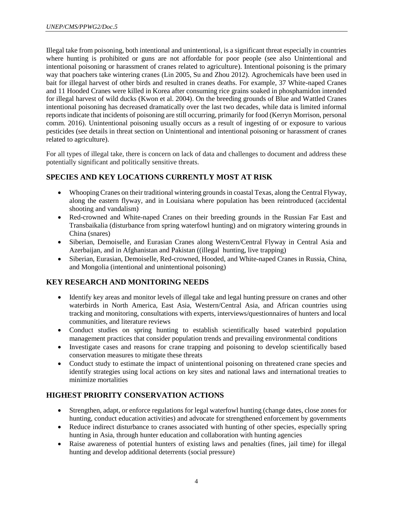Illegal take from poisoning, both intentional and unintentional, is a significant threat especially in countries where hunting is prohibited or guns are not affordable for poor people (see also Unintentional and intentional poisoning or harassment of cranes related to agriculture). Intentional poisoning is the primary way that poachers take wintering cranes (Lin 2005, Su and Zhou 2012). Agrochemicals have been used in bait for illegal harvest of other birds and resulted in cranes deaths. For example, 37 White-naped Cranes and 11 Hooded Cranes were killed in Korea after consuming rice grains soaked in phosphamidon intended for illegal harvest of wild ducks (Kwon et al. 2004). On the breeding grounds of Blue and Wattled Cranes intentional poisoning has decreased dramatically over the last two decades, while data is limited informal reports indicate that incidents of poisoning are still occurring, primarily for food (Kerryn Morrison, personal comm. 2016). Unintentional poisoning usually occurs as a result of ingesting of or exposure to various pesticides (see details in threat section on Unintentional and intentional poisoning or harassment of cranes related to agriculture).

For all types of illegal take, there is concern on lack of data and challenges to document and address these potentially significant and politically sensitive threats.

### **SPECIES AND KEY LOCATIONS CURRENTLY MOST AT RISK**

- Whooping Cranes on their traditional wintering grounds in coastal Texas, along the Central Flyway, along the eastern flyway, and in Louisiana where population has been reintroduced (accidental shooting and vandalism)
- Red-crowned and White-naped Cranes on their breeding grounds in the Russian Far East and Transbaikalia (disturbance from spring waterfowl hunting) and on migratory wintering grounds in China (snares)
- Siberian, Demoiselle, and Eurasian Cranes along Western/Central Flyway in Central Asia and Azerbaijan, and in Afghanistan and Pakistan ((illegal hunting, live trapping)
- Siberian, Eurasian, Demoiselle, Red-crowned, Hooded, and White-naped Cranes in Russia, China, and Mongolia (intentional and unintentional poisoning)

### **KEY RESEARCH AND MONITORING NEEDS**

- Identify key areas and monitor levels of illegal take and legal hunting pressure on cranes and other waterbirds in North America, East Asia, Western/Central Asia, and African countries using tracking and monitoring, consultations with experts, interviews/questionnaires of hunters and local communities, and literature reviews
- Conduct studies on spring hunting to establish scientifically based waterbird population management practices that consider population trends and prevailing environmental conditions
- Investigate cases and reasons for crane trapping and poisoning to develop scientifically based conservation measures to mitigate these threats
- Conduct study to estimate the impact of unintentional poisoning on threatened crane species and identify strategies using local actions on key sites and national laws and international treaties to minimize mortalities

### **HIGHEST PRIORITY CONSERVATION ACTIONS**

- Strengthen, adapt, or enforce regulations for legal waterfowl hunting (change dates, close zones for hunting, conduct education activities) and advocate for strengthened enforcement by governments
- Reduce indirect disturbance to cranes associated with hunting of other species, especially spring hunting in Asia, through hunter education and collaboration with hunting agencies
- Raise awareness of potential hunters of existing laws and penalties (fines, jail time) for illegal hunting and develop additional deterrents (social pressure)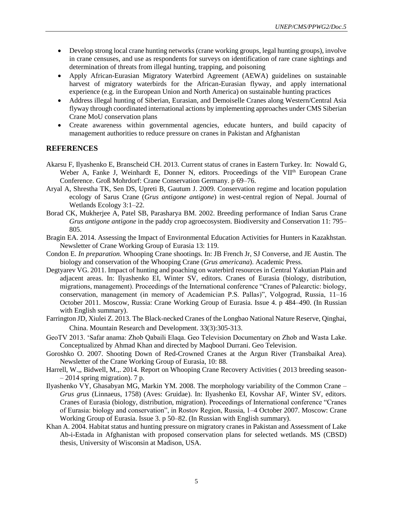- Develop strong local crane hunting networks (crane working groups, legal hunting groups), involve in crane censuses, and use as respondents for surveys on identification of rare crane sightings and determination of threats from illegal hunting, trapping, and poisoning
- Apply African-Eurasian Migratory Waterbird Agreement (AEWA) guidelines on sustainable harvest of migratory waterbirds for the African-Eurasian flyway, and apply international experience (e.g. in the European Union and North America) on sustainable hunting practices
- Address illegal hunting of Siberian, Eurasian, and Demoiselle Cranes along Western/Central Asia flyway through coordinated international actions by implementing approaches under CMS Siberian Crane MoU conservation plans
- Create awareness within governmental agencies, educate hunters, and build capacity of management authorities to reduce pressure on cranes in Pakistan and Afghanistan

#### **REFERENCES**

- Akarsu F, Ilyashenko E, Branscheid CH. 2013. Current status of cranes in Eastern Turkey. In: Nowald G, Weber A, Fanke J, Weinhardt E, Donner N, editors. Proceedings of the VII<sup>th</sup> European Crane Conference. Groß Mohrdorf: Crane Conservation Germany. p 69–76.
- Aryal A, Shrestha TK, Sen DS, Upreti B, Gautum J. 2009. Conservation regime and location population ecology of Sarus Crane (*Grus antigone antigone*) in west-central region of Nepal. Journal of Wetlands Ecology 3:1–22.
- Borad CK, Mukherjee A, Patel SB, Parasharya BM. 2002. Breeding performance of Indian Sarus Crane *Grus antigone antigone* in the paddy crop agroecosystem. Biodiversity and Conservation 11: 795– 805.
- Bragin EA. 2014. Assessing the Impact of Environmental Education Activities for Hunters in Kazakhstan. Newsletter of Crane Working Group of Eurasia 13: 119.
- Condon E. *In preparation.* Whooping Crane shootings. In: JB French Jr, SJ Converse, and JE Austin. The biology and conservation of the Whooping Crane (*Grus americana*). Academic Press.
- Degtyarev VG. 2011. Impact of hunting and poaching on waterbird resources in Central Yakutian Plain and adjacent areas. In: Ilyashenko EI, Winter SV, editors. Cranes of Eurasia (biology, distribution, migrations, management). Proceedings of the International conference "Cranes of Palearctic: biology, conservation, management (in memory of Academician P.S. Pallas)", Volgograd, Russia, 11–16 October 2011. Moscow, Russia: Crane Working Group of Eurasia. Issue 4. p 484–490. (In Russian with English summary).
- Farrington JD, Xiulei Z. 2013. The Black-necked Cranes of the Longbao National Nature Reserve, Qinghai, China. Mountain Research and Development. 33(3):305-313.
- GeoTV 2013. 'Safar anama: Zhob Qabaili Elaqa. Geo Television Documentary on Zhob and Wasta Lake. Conceptualized by Ahmad Khan and directed by Maqbool Durrani. Geo Television.
- Goroshko O. 2007. Shooting Down of Red-Crowned Cranes at the Argun River (Transbaikal Area). Newsletter of the Crane Working Group of Eurasia, 10: 88.
- Harrell, W.,, Bidwell, M.,. 2014. Report on Whooping Crane Recovery Activities ( 2013 breeding season-  $-2014$  spring migration). 7 p.
- Ilyashenko VY, Ghasabyan MG, Markin YM. 2008. The morphology variability of the Common Crane *Grus grus* (Linnaeus, 1758) (Aves: Gruidae). In: Ilyashenko EI, Kovshar AF, Winter SV, editors. Cranes of Eurasia (biology, distribution, migration). Proceedings of International conference "Cranes of Eurasia: biology and conservation", in Rostov Region, Russia, 1-4 October 2007. Moscow: Crane Working Group of Eurasia. Issue 3. p 50–82. (In Russian with English summary).
- Khan A. 2004. Habitat status and hunting pressure on migratory cranes in Pakistan and Assessment of Lake Ab-i-Estada in Afghanistan with proposed conservation plans for selected wetlands. MS (CBSD) thesis, University of Wisconsin at Madison, USA.